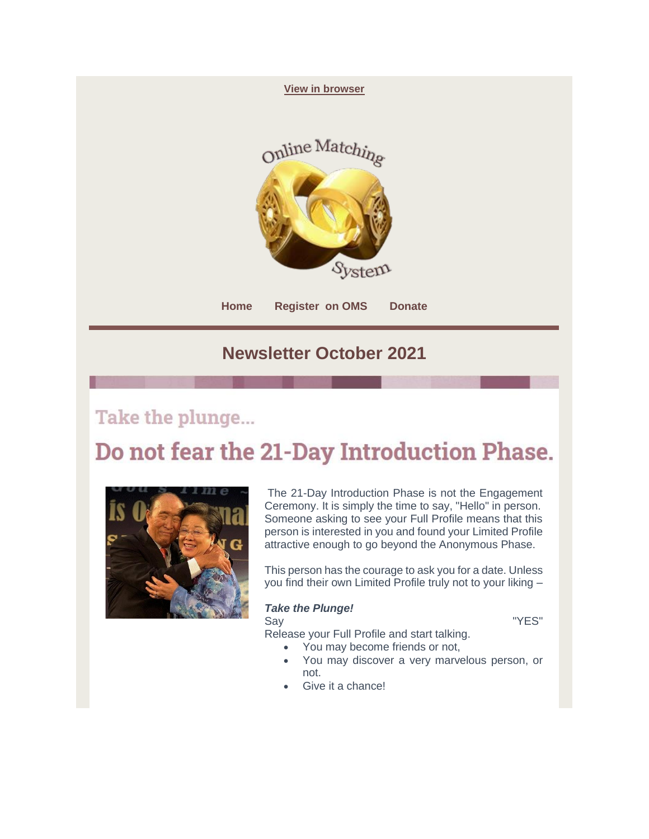

### Take the plunge...

# Do not fear the 21-Day Introduction Phase.



The 21-Day Introduction Phase is not the Engagement Ceremony. It is simply the time to say, "Hello" in person. Someone asking to see your Full Profile means that this person is interested in you and found your Limited Profile attractive enough to go beyond the Anonymous Phase.

This person has the courage to ask you for a date. Unless you find their own Limited Profile truly not to your liking –

#### *Take the Plunge!*

Say **The Contract Service Say The Service Say Area** The Test of The Test of The Test of The Test of The Test of T

Release your Full Profile and start talking.

- You may become friends or not,
- You may discover a very marvelous person, or not.
- Give it a chance!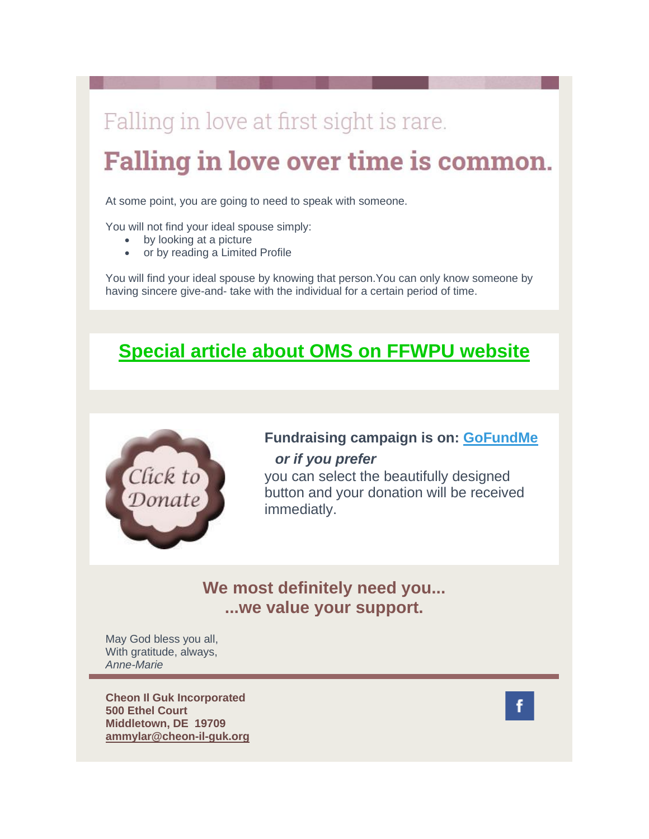## Falling in love at first sight is rare.

# **Falling in love over time is common.**

At some point, you are going to need to speak with someone.

You will not find your ideal spouse simply:

- by looking at a picture
- or by reading a Limited Profile

You will find your ideal spouse by knowing that person.You can only know someone by having sincere give-and- take with the individual for a certain period of time.

## **[Special article about OMS on FFWPU website](https://2k505.r.bh.d.sendibt3.com/mk/cl/f/nVjwjtJRC34Llb4-y53_cxczFxSwa0lBFN6kKTlSd8KasdhwU7lOmQqw5OYiQ8YsKMGX7Mfj15XOAxpvjI4QD7-VdMUlOmceBQbUK8KRVvAndEcJMRgB_FHnCRKV98D_3Elx3010-MLxMSEMzlWLWiAIOr52JZ7cz50m4I0cxghc5xxBiQNcanUaA4Tw_ywLRklU05FXPCdU-gKIA91JcopOUCsJyEcAFbCqGTgQaQ)**



### **Fundraising campaign is on: [GoFundMe](https://2k505.r.bh.d.sendibt3.com/mk/cl/f/X1yzrhHafwytzdvxxqNZKk1e8XA2toxbVksr8WPFc0A2mHfuCkN1G3bDfMmFkXG8E7YnxGECwkL0DKIiTyWViKU_xEWSeNW7eDoFQcsJyzWfGchYN5j5wqRwqiRAbSAun26RJcQEwcaPWnz43hAYi8bKkyx6yJ4bFVVmtx_xtlEtF4LouYaEHPdLttcvljydu1gHCUVfBbtfbyh0qCQxmQw3eTIIe8z55dKHDPXkV2BHa3pM3eok5E3R5ga1RWMJ)** *or if you prefer*

you can select the beautifully designed button and your donation will be received immediatly.

### **We most definitely need you... ...we value your support.**

May God bless you all, With gratitude, always, *Anne-Marie*

**Cheon Il Guk Incorporated 500 Ethel Court Middletown, DE 19709 ammylar@cheon-il-guk.org**